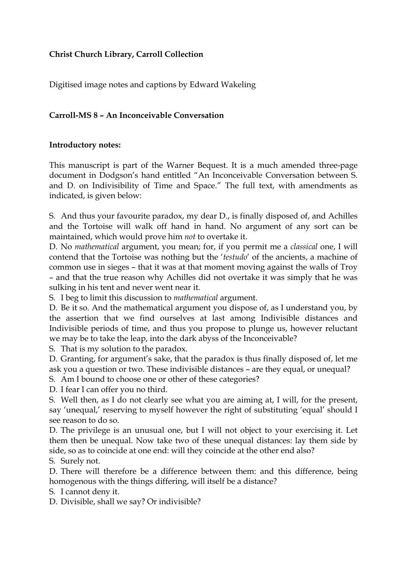## **Christ Church Library, Carroll Collection**

Digitised image notes and captions by Edward Wakeling

## **Carroll-MS 8 – An Inconceivable Conversation**

## **Introductory notes:**

This manuscript is part of the Warner Bequest. It is a much amended three-page document in Dodgson's hand entitled "An Inconceivable Conversation between S. and D. on Indivisibility of Time and Space." The full text, with amendments as indicated, is given below:

S. And thus your favourite paradox, my dear D., is finally disposed of, and Achilles and the Tortoise will walk off hand in hand. No argument of any sort can be maintained, which would prove him *not* to overtake it.

D. No *mathematical* argument, you mean; for, if you permit me a *classical* one, I will contend that the Tortoise was nothing but the '*testudo*' of the ancients, a machine of common use in sieges – that it was at that moment moving against the walls of Troy – and that the true reason why Achilles did not overtake it was simply that he was sulking in his tent and never went near it.

S. I beg to limit this discussion to *mathematical* argument.

D. Be it so. And the mathematical argument you dispose of, as I understand you, by the assertion that we find ourselves at last among Indivisible distances and Indivisible periods of time, and thus you propose to plunge us, however reluctant we may be to take the leap, into the dark abyss of the Inconceivable?

S. That is my solution to the paradox.

D. Granting, for argument's sake, that the paradox is thus finally disposed of, let me ask you a question or two. These indivisible distances – are they equal, or unequal?

S. Am I bound to choose one or other of these categories?

D. I fear I can offer you no third.

S. Well then, as I do not clearly see what you are aiming at, I will, for the present, say 'unequal,' reserving to myself however the right of substituting 'equal' should I see reason to do so.

D. The privilege is an unusual one, but I will not object to your exercising it. Let them then be unequal. Now take two of these unequal distances: lay them side by side, so as to coincide at one end: will they coincide at the other end also?

S. Surely not.

D. There will therefore be a difference between them: and this difference, being homogenous with the things differing, will itself be a distance?

S. I cannot deny it.

D. Divisible, shall we say? Or indivisible?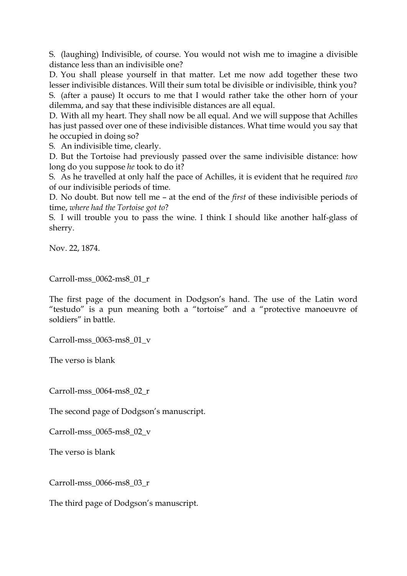S. (laughing) Indivisible, of course. You would not wish me to imagine a divisible distance less than an indivisible one?

D. You shall please yourself in that matter. Let me now add together these two lesser indivisible distances. Will their sum total be divisible or indivisible, think you? S. (after a pause) It occurs to me that I would rather take the other horn of your dilemma, and say that these indivisible distances are all equal.

D. With all my heart. They shall now be all equal. And we will suppose that Achilles has just passed over one of these indivisible distances. What time would you say that he occupied in doing so?

S. An indivisible time, clearly.

D. But the Tortoise had previously passed over the same indivisible distance: how long do you suppose *he* took to do it?

S. As he travelled at only half the pace of Achilles, it is evident that he required *two* of our indivisible periods of time.

D. No doubt. But now tell me – at the end of the *first* of these indivisible periods of time, *where had the Tortoise got to*?

S. I will trouble you to pass the wine. I think I should like another half-glass of sherry.

Nov. 22, 1874.

Carroll-mss\_0062-ms8\_01\_r

The first page of the document in Dodgson's hand. The use of the Latin word "testudo" is a pun meaning both a "tortoise" and a "protective manoeuvre of soldiers" in battle.

Carroll-mss\_0063-ms8\_01\_v

The verso is blank

Carroll-mss\_0064-ms8\_02\_r

The second page of Dodgson's manuscript.

Carroll-mss\_0065-ms8\_02\_v

The verso is blank

Carroll-mss\_0066-ms8\_03\_r

The third page of Dodgson's manuscript.